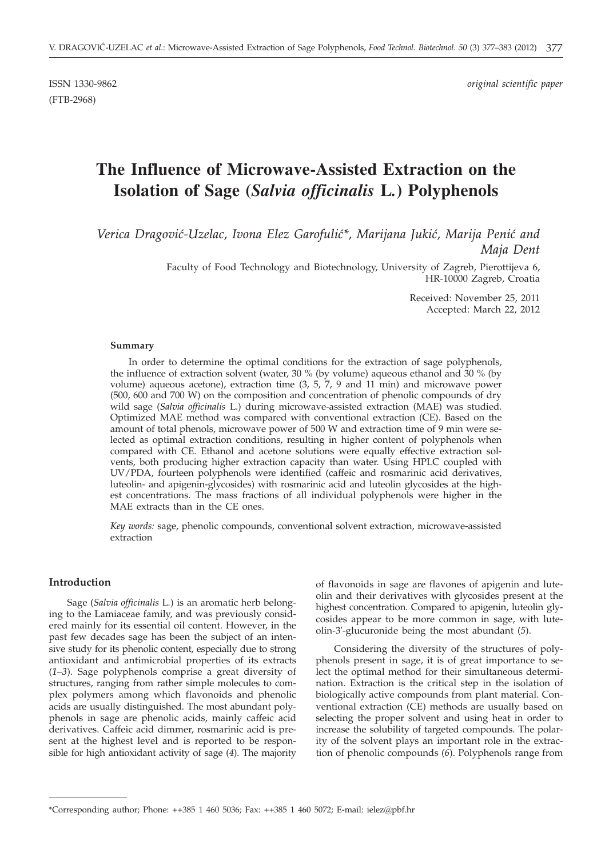(FTB-2968)

ISSN 1330-9862 *original scientific paper*

# **The Influence of Microwave-Assisted Extraction on the Isolation of Sage (***Salvia officinalis* **L***.***) Polyphenols**

Verica Dragović-Uzelac, Ivona Elez Garofulić\*, Marijana Jukić, Marija Penić and *Maja Dent*

> Faculty of Food Technology and Biotechnology, University of Zagreb, Pierottijeva 6, HR-10000 Zagreb, Croatia

> > Received: November 25, 2011 Accepted: March 22, 2012

#### **Summary**

In order to determine the optimal conditions for the extraction of sage polyphenols, the influence of extraction solvent (water, 30 % (by volume) aqueous ethanol and 30 % (by volume) aqueous acetone), extraction time (3, 5, 7, 9 and 11 min) and microwave power (500, 600 and 700 W) on the composition and concentration of phenolic compounds of dry wild sage (*Salvia officinalis* L.) during microwave-assisted extraction (MAE) was studied. Optimized MAE method was compared with conventional extraction (CE). Based on the amount of total phenols, microwave power of 500 W and extraction time of 9 min were selected as optimal extraction conditions, resulting in higher content of polyphenols when compared with CE. Ethanol and acetone solutions were equally effective extraction solvents, both producing higher extraction capacity than water. Using HPLC coupled with UV/PDA, fourteen polyphenols were identified (caffeic and rosmarinic acid derivatives, luteolin- and apigenin-glycosides) with rosmarinic acid and luteolin glycosides at the highest concentrations. The mass fractions of all individual polyphenols were higher in the MAE extracts than in the CE ones.

*Key words:* sage, phenolic compounds, conventional solvent extraction, microwave-assisted extraction

## **Introduction**

Sage (*Salvia officinalis* L*.*) is an aromatic herb belonging to the Lamiaceae family, and was previously considered mainly for its essential oil content. However, in the past few decades sage has been the subject of an intensive study for its phenolic content, especially due to strong antioxidant and antimicrobial properties of its extracts (*1*–*3*). Sage polyphenols comprise a great diversity of structures, ranging from rather simple molecules to complex polymers among which flavonoids and phenolic acids are usually distinguished. The most abundant polyphenols in sage are phenolic acids, mainly caffeic acid derivatives. Caffeic acid dimmer, rosmarinic acid is present at the highest level and is reported to be responsible for high antioxidant activity of sage (*4*). The majority of flavonoids in sage are flavones of apigenin and luteolin and their derivatives with glycosides present at the highest concentration. Compared to apigenin, luteolin glycosides appear to be more common in sage, with luteolin-3'-glucuronide being the most abundant (*5*).

Considering the diversity of the structures of polyphenols present in sage, it is of great importance to select the optimal method for their simultaneous determination. Extraction is the critical step in the isolation of biologically active compounds from plant material. Conventional extraction (CE) methods are usually based on selecting the proper solvent and using heat in order to increase the solubility of targeted compounds. The polarity of the solvent plays an important role in the extraction of phenolic compounds (*6*). Polyphenols range from

<sup>\*</sup>Corresponding author; Phone: ++385 1 460 5036; Fax: ++385 1 460 5072; E-mail: ielez@pbf.hr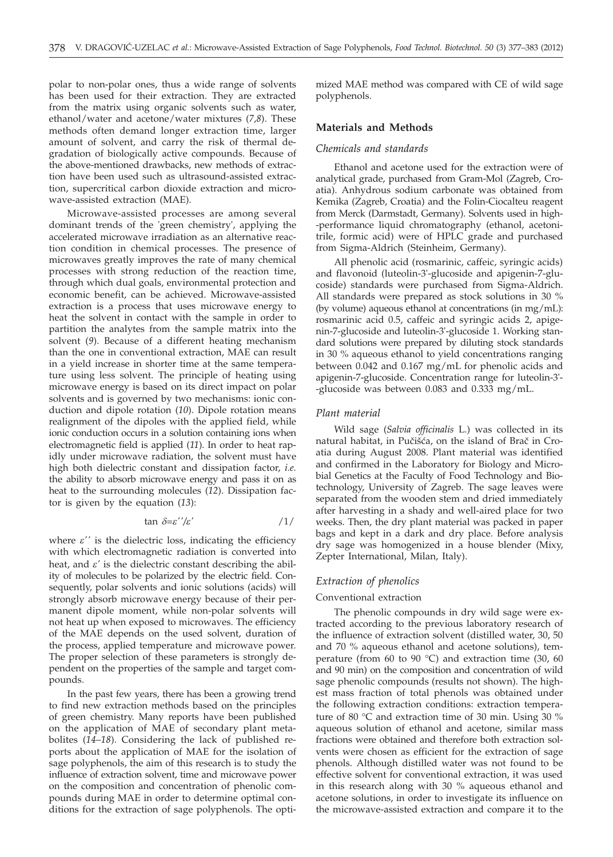polar to non-polar ones, thus a wide range of solvents has been used for their extraction. They are extracted from the matrix using organic solvents such as water, ethanol/water and acetone/water mixtures (*7*,*8*). These methods often demand longer extraction time, larger amount of solvent, and carry the risk of thermal degradation of biologically active compounds. Because of the above-mentioned drawbacks, new methods of extraction have been used such as ultrasound-assisted extraction, supercritical carbon dioxide extraction and microwave-assisted extraction (MAE).

Microwave-assisted processes are among several dominant trends of the 'green chemistry', applying the accelerated microwave irradiation as an alternative reaction condition in chemical processes. The presence of microwaves greatly improves the rate of many chemical processes with strong reduction of the reaction time, through which dual goals, environmental protection and economic benefit, can be achieved. Microwave-assisted extraction is a process that uses microwave energy to heat the solvent in contact with the sample in order to partition the analytes from the sample matrix into the solvent (*9*). Because of a different heating mechanism than the one in conventional extraction, MAE can result in a yield increase in shorter time at the same temperature using less solvent. The principle of heating using microwave energy is based on its direct impact on polar solvents and is governed by two mechanisms: ionic conduction and dipole rotation (*10*). Dipole rotation means realignment of the dipoles with the applied field, while ionic conduction occurs in a solution containing ions when electromagnetic field is applied (*11*). In order to heat rapidly under microwave radiation, the solvent must have high both dielectric constant and dissipation factor, *i.e.* the ability to absorb microwave energy and pass it on as heat to the surrounding molecules (*12*). Dissipation factor is given by the equation (*13*):

$$
\tan \delta = \varepsilon^{\prime\prime}/\varepsilon^{\prime} \tag{1/}
$$

where  $\varepsilon'$  is the dielectric loss, indicating the efficiency with which electromagnetic radiation is converted into heat, and  $\varepsilon'$  is the dielectric constant describing the ability of molecules to be polarized by the electric field. Consequently, polar solvents and ionic solutions (acids) will strongly absorb microwave energy because of their permanent dipole moment, while non-polar solvents will not heat up when exposed to microwaves. The efficiency of the MAE depends on the used solvent, duration of the process, applied temperature and microwave power. The proper selection of these parameters is strongly dependent on the properties of the sample and target compounds.

In the past few years, there has been a growing trend to find new extraction methods based on the principles of green chemistry. Many reports have been published on the application of MAE of secondary plant metabolites (*14*–*18*). Considering the lack of published reports about the application of MAE for the isolation of sage polyphenols, the aim of this research is to study the influence of extraction solvent, time and microwave power on the composition and concentration of phenolic compounds during MAE in order to determine optimal conditions for the extraction of sage polyphenols. The optimized MAE method was compared with CE of wild sage polyphenols.

### **Materials and Methods**

# *Chemicals and standards*

Ethanol and acetone used for the extraction were of analytical grade, purchased from Gram-Mol (Zagreb, Croatia). Anhydrous sodium carbonate was obtained from Kemika (Zagreb, Croatia) and the Folin-Ciocalteu reagent from Merck (Darmstadt, Germany). Solvents used in high- -performance liquid chromatography (ethanol, acetonitrile, formic acid) were of HPLC grade and purchased from Sigma-Aldrich (Steinheim, Germany).

All phenolic acid (rosmarinic, caffeic, syringic acids) and flavonoid (luteolin-3'-glucoside and apigenin-7-glucoside) standards were purchased from Sigma-Aldrich. All standards were prepared as stock solutions in 30 % (by volume) aqueous ethanol at concentrations (in mg/mL): rosmarinic acid 0.5, caffeic and syringic acids 2, apigenin-7-glucoside and luteolin-3'-glucoside 1. Working standard solutions were prepared by diluting stock standards in 30 % aqueous ethanol to yield concentrations ranging between 0.042 and 0.167 mg/mL for phenolic acids and apigenin-7-glucoside. Concentration range for luteolin-3'- -glucoside was between 0.083 and 0.333 mg/mL.

#### *Plant material*

Wild sage (*Salvia officinalis* L.) was collected in its natural habitat, in Pučišća, on the island of Brač in Croatia during August 2008. Plant material was identified and confirmed in the Laboratory for Biology and Microbial Genetics at the Faculty of Food Technology and Biotechnology, University of Zagreb. The sage leaves were separated from the wooden stem and dried immediately after harvesting in a shady and well-aired place for two weeks. Then, the dry plant material was packed in paper bags and kept in a dark and dry place. Before analysis dry sage was homogenized in a house blender (Mixy, Zepter International, Milan, Italy).

# *Extraction of phenolics*

#### Conventional extraction

The phenolic compounds in dry wild sage were extracted according to the previous laboratory research of the influence of extraction solvent (distilled water, 30, 50 and 70 % aqueous ethanol and acetone solutions), temperature (from 60 to 90  $^{\circ}$ C) and extraction time (30, 60 and 90 min) on the composition and concentration of wild sage phenolic compounds (results not shown). The highest mass fraction of total phenols was obtained under the following extraction conditions: extraction temperature of 80 °C and extraction time of 30 min. Using 30 % aqueous solution of ethanol and acetone, similar mass fractions were obtained and therefore both extraction solvents were chosen as efficient for the extraction of sage phenols. Although distilled water was not found to be effective solvent for conventional extraction, it was used in this research along with 30 % aqueous ethanol and acetone solutions, in order to investigate its influence on the microwave-assisted extraction and compare it to the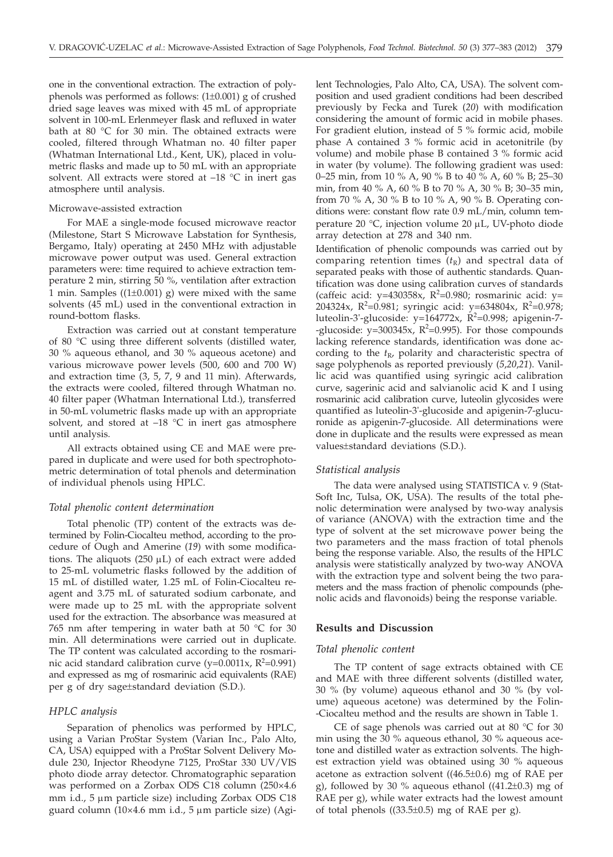one in the conventional extraction. The extraction of polyphenols was performed as follows: (1±0.001) g of crushed dried sage leaves was mixed with 45 mL of appropriate solvent in 100-mL Erlenmeyer flask and refluxed in water bath at 80 °C for 30 min. The obtained extracts were cooled, filtered through Whatman no. 40 filter paper (Whatman International Ltd., Kent, UK), placed in volumetric flasks and made up to 50 mL with an appropriate solvent. All extracts were stored at –18 °C in inert gas atmosphere until analysis.

#### Microwave-assisted extraction

For MAE a single-mode focused microwave reactor (Milestone, Start S Microwave Labstation for Synthesis, Bergamo, Italy) operating at 2450 MHz with adjustable microwave power output was used. General extraction parameters were: time required to achieve extraction temperature 2 min, stirring 50 %, ventilation after extraction 1 min. Samples  $((1\pm 0.001)$  g) were mixed with the same solvents (45 mL) used in the conventional extraction in round-bottom flasks.

Extraction was carried out at constant temperature of 80 °C using three different solvents (distilled water, 30 % aqueous ethanol, and 30 % aqueous acetone) and various microwave power levels (500, 600 and 700 W) and extraction time (3, 5, 7, 9 and 11 min). Afterwards, the extracts were cooled, filtered through Whatman no. 40 filter paper (Whatman International Ltd.), transferred in 50-mL volumetric flasks made up with an appropriate solvent, and stored at  $-18$  °C in inert gas atmosphere until analysis.

All extracts obtained using CE and MAE were prepared in duplicate and were used for both spectrophotometric determination of total phenols and determination of individual phenols using HPLC.

#### *Total phenolic content determination*

Total phenolic (TP) content of the extracts was determined by Folin-Ciocalteu method, according to the procedure of Ough and Amerine (*19*) with some modifications. The aliquots (250  $\mu$ L) of each extract were added to 25-mL volumetric flasks followed by the addition of 15 mL of distilled water, 1.25 mL of Folin-Ciocalteu reagent and 3.75 mL of saturated sodium carbonate, and were made up to 25 mL with the appropriate solvent used for the extraction. The absorbance was measured at 765 nm after tempering in water bath at 50 °C for 30 min. All determinations were carried out in duplicate. The TP content was calculated according to the rosmarinic acid standard calibration curve (y=0.0011x,  $R^2$ =0.991) and expressed as mg of rosmarinic acid equivalents (RAE) per g of dry sage±standard deviation (S.D.).

#### *HPLC analysis*

Separation of phenolics was performed by HPLC, using a Varian ProStar System (Varian Inc., Palo Alto, CA, USA) equipped with a ProStar Solvent Delivery Module 230, Injector Rheodyne 7125, ProStar 330 UV/VIS photo diode array detector. Chromatographic separation was performed on a Zorbax ODS C18 column (250×4.6 mm i.d.,  $5 \mu m$  particle size) including Zorbax ODS C18 guard column (10×4.6 mm i.d.,  $5 \mu m$  particle size) (Agilent Technologies, Palo Alto, CA, USA). The solvent composition and used gradient conditions had been described previously by Fecka and Turek (*20*) with modification considering the amount of formic acid in mobile phases. For gradient elution, instead of 5 % formic acid, mobile phase A contained 3 % formic acid in acetonitrile (by volume) and mobile phase B contained 3 % formic acid in water (by volume). The following gradient was used: 0–25 min, from 10 % A, 90 % B to 40 % A, 60 % B; 25–30 min, from 40 % A, 60 % B to 70 % A, 30 % B; 30–35 min, from 70 % A, 30 % B to 10 % A, 90 % B. Operating conditions were: constant flow rate 0.9 mL/min, column temperature 20 °C, injection volume 20  $\mu$ L, UV-photo diode array detection at 278 and 340 nm.

Identification of phenolic compounds was carried out by comparing retention times  $(t<sub>R</sub>)$  and spectral data of separated peaks with those of authentic standards. Quantification was done using calibration curves of standards (caffeic acid:  $y=430358x$ ,  $R^2=0.980$ ; rosmarinic acid:  $y=$ 204324x, R<sup>2</sup>=0.981; syringic acid: y=634804x, R<sup>2</sup>=0.978; luteolin-3'-glucoside: y=164772x, R<sup>2</sup>=0.998; apigenin-7--glucoside:  $y=300345x$ ,  $R^2=0.995$ ). For those compounds lacking reference standards, identification was done according to the  $t_{R}$ , polarity and characteristic spectra of sage polyphenols as reported previously (*5*,*20*,*21*). Vanillic acid was quantified using syringic acid calibration curve, sagerinic acid and salvianolic acid K and I using rosmarinic acid calibration curve, luteolin glycosides were quantified as luteolin-3'-glucoside and apigenin-7-glucuronide as apigenin-7-glucoside. All determinations were done in duplicate and the results were expressed as mean values±standard deviations (S.D.).

#### *Statistical analysis*

The data were analysed using STATISTICA v. 9 (Stat-Soft Inc, Tulsa, OK, USA). The results of the total phenolic determination were analysed by two-way analysis of variance (ANOVA) with the extraction time and the type of solvent at the set microwave power being the two parameters and the mass fraction of total phenols being the response variable. Also, the results of the HPLC analysis were statistically analyzed by two-way ANOVA with the extraction type and solvent being the two parameters and the mass fraction of phenolic compounds (phenolic acids and flavonoids) being the response variable.

#### **Results and Discussion**

## *Total phenolic content*

The TP content of sage extracts obtained with CE and MAE with three different solvents (distilled water, 30 % (by volume) aqueous ethanol and 30 % (by volume) aqueous acetone) was determined by the Folin- -Ciocalteu method and the results are shown in Table 1.

CE of sage phenols was carried out at 80 °C for 30 min using the 30 % aqueous ethanol, 30 % aqueous acetone and distilled water as extraction solvents. The highest extraction yield was obtained using 30 % aqueous acetone as extraction solvent ((46.5±0.6) mg of RAE per g), followed by 30 % aqueous ethanol  $((41.2\pm 0.3)$  mg of RAE per g), while water extracts had the lowest amount of total phenols  $((33.5\pm0.5)$  mg of RAE per g).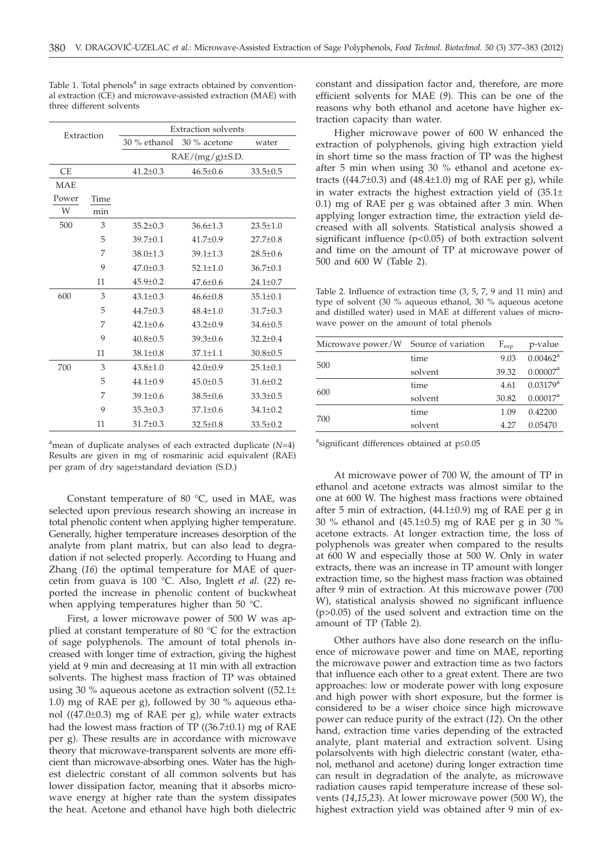| Extraction |      | <b>Extraction solvents</b> |                |                |  |
|------------|------|----------------------------|----------------|----------------|--|
|            |      | 30 % ethanol 30 % acetone  |                | water          |  |
|            |      | $RAE/(mg/g)\pm S.D.$       |                |                |  |
| <b>CE</b>  |      | $41.2 \pm 0.3$             | $46.5 + 0.6$   | $33.5 \pm 0.5$ |  |
| <b>MAE</b> |      |                            |                |                |  |
| Power      | Time |                            |                |                |  |
| W          | min  |                            |                |                |  |
| 500        | 3    | $35.2 \pm 0.3$             | $36.6 \pm 1.3$ | $23.5 \pm 1.0$ |  |
|            | 5    | $39.7 \pm 0.1$             | $41.7 \pm 0.9$ | $27.7 \pm 0.8$ |  |
|            | 7    | $38.0 \pm 1.3$             | $39.1 \pm 1.3$ | $28.5 \pm 0.6$ |  |
|            | 9    | $47.0 + 0.3$               | $52.1 + 1.0$   | $36.7 \pm 0.1$ |  |
|            | 11   | $45.9 + 0.2$               | $47.6 + 0.6$   | $24.1 \pm 0.7$ |  |
| 600        | 3    | $43.1 + 0.3$               | $46.6 + 0.8$   | $35.1 + 0.1$   |  |
|            | 5    | $44.7 + 0.3$               | $48.4 + 1.0$   | $31.7 \pm 0.3$ |  |
|            | 7    | $42.1 + 0.6$               | $43.2 \pm 0.9$ | $34.6 \pm 0.5$ |  |
|            | 9    | $40.8 \pm 0.5$             | $39.3 + 0.6$   | $32.2 \pm 0.4$ |  |
|            | 11   | $38.1 \pm 0.8$             | $37.1 \pm 1.1$ | $30.8 \pm 0.5$ |  |
| 700        | 3    | $43.8 + 1.0$               | $42.0 \pm 0.9$ | $25.1 \pm 0.1$ |  |
|            | 5    | $44.1 \pm 0.9$             | $45.0 \pm 0.5$ | $31.6 \pm 0.2$ |  |
|            | 7    | $39.1 \pm 0.6$             | $38.5 \pm 0.6$ | $33.3 \pm 0.5$ |  |
|            | 9    | $35.3 \pm 0.3$             | $37.1 \pm 0.6$ | $34.1 \pm 0.2$ |  |
|            | 11   | $31.7 \pm 0.3$             | $32.5 \pm 0.8$ | $33.5 \pm 0.2$ |  |

Table 1. Total phenols<sup>a</sup> in sage extracts obtained by conventional extraction (CE) and microwave-assisted extraction (MAE) with three different solvents

a mean of duplicate analyses of each extracted duplicate (*N*=4) Results are given in mg of rosmarinic acid equivalent (RAE) per gram of dry sage±standard deviation (S.D.)

Constant temperature of 80 °C, used in MAE, was selected upon previous research showing an increase in total phenolic content when applying higher temperature. Generally, higher temperature increases desorption of the analyte from plant matrix, but can also lead to degradation if not selected properly. According to Huang and Zhang (*16*) the optimal temperature for MAE of quercetin from guava is 100 °C. Also, Inglett *et al.* (*22*) reported the increase in phenolic content of buckwheat when applying temperatures higher than 50 °C.

First, a lower microwave power of 500 W was applied at constant temperature of 80 °C for the extraction of sage polyphenols. The amount of total phenols increased with longer time of extraction, giving the highest yield at 9 min and decreasing at 11 min with all extraction solvents. The highest mass fraction of TP was obtained using 30 % aqueous acetone as extraction solvent ( $(52.1\pm)$ 1.0) mg of RAE per g), followed by 30 % aqueous ethanol ((47.0±0.3) mg of RAE per g), while water extracts had the lowest mass fraction of TP ((36.7±0.1) mg of RAE per g). These results are in accordance with microwave theory that microwave-transparent solvents are more efficient than microwave-absorbing ones. Water has the highest dielectric constant of all common solvents but has lower dissipation factor, meaning that it absorbs microwave energy at higher rate than the system dissipates the heat. Acetone and ethanol have high both dielectric

constant and dissipation factor and, therefore, are more efficient solvents for MAE (*9*). This can be one of the reasons why both ethanol and acetone have higher extraction capacity than water.

Higher microwave power of 600 W enhanced the extraction of polyphenols, giving high extraction yield in short time so the mass fraction of TP was the highest after 5 min when using 30 % ethanol and acetone extracts ( $(44.7\pm0.3)$  and  $(48.4\pm1.0)$  mg of RAE per g), while in water extracts the highest extraction yield of  $(35.1\pm$ 0.1) mg of RAE per g was obtained after 3 min. When applying longer extraction time, the extraction yield decreased with all solvents. Statistical analysis showed a significant influence  $(p<0.05)$  of both extraction solvent and time on the amount of TP at microwave power of 500 and 600 W (Table 2).

Table 2. Influence of extraction time (3, 5, 7, 9 and 11 min) and type of solvent (30 % aqueous ethanol, 30 % aqueous acetone and distilled water) used in MAE at different values of microwave power on the amount of total phenols

| Microwave power/W Source of variation |         | $F_{\rm exp}$ | p-value                |
|---------------------------------------|---------|---------------|------------------------|
|                                       | time    | 9.03          | $0.00462^{\text{a}}$   |
| 500                                   | solvent | 39.32         | 0.00007 <sup>a</sup>   |
|                                       | time    | 4.61          | $0.03179$ <sup>a</sup> |
| 600                                   | solvent | 30.82         | $0.00017^a$            |
|                                       | time    | 1.09          | 0.42200                |
| 700                                   | solvent | 4.27          | 0.05470                |

 $a$ significant differences obtained at  $p \le 0.05$ 

At microwave power of 700 W, the amount of TP in ethanol and acetone extracts was almost similar to the one at 600 W. The highest mass fractions were obtained after 5 min of extraction,  $(44.1\pm0.9)$  mg of RAE per g in 30 % ethanol and  $(45.1\pm0.5)$  mg of RAE per g in 30 % acetone extracts. At longer extraction time, the loss of polyphenols was greater when compared to the results at 600 W and especially those at 500 W. Only in water extracts, there was an increase in TP amount with longer extraction time, so the highest mass fraction was obtained after 9 min of extraction. At this microwave power (700 W), statistical analysis showed no significant influence (p>0.05) of the used solvent and extraction time on the amount of TP (Table 2).

Other authors have also done research on the influence of microwave power and time on MAE, reporting the microwave power and extraction time as two factors that influence each other to a great extent. There are two approaches: low or moderate power with long exposure and high power with short exposure, but the former is considered to be a wiser choice since high microwave power can reduce purity of the extract (*12*). On the other hand, extraction time varies depending of the extracted analyte, plant material and extraction solvent. Using polarsolvents with high dielectric constant (water, ethanol, methanol and acetone) during longer extraction time can result in degradation of the analyte, as microwave radiation causes rapid temperature increase of these solvents (*14*,*15*,*23*). At lower microwave power (500 W), the highest extraction yield was obtained after 9 min of ex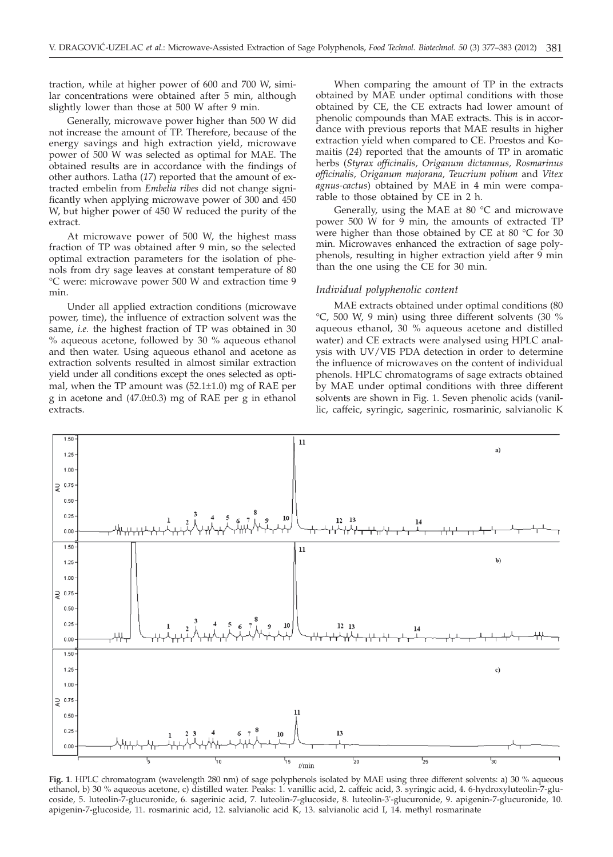traction, while at higher power of 600 and 700 W, similar concentrations were obtained after 5 min, although slightly lower than those at 500 W after 9 min.

Generally, microwave power higher than 500 W did not increase the amount of TP. Therefore, because of the energy savings and high extraction yield, microwave power of 500 W was selected as optimal for MAE. The obtained results are in accordance with the findings of other authors. Latha (*17*) reported that the amount of extracted embelin from *Embelia ribes* did not change significantly when applying microwave power of 300 and 450 W, but higher power of 450 W reduced the purity of the extract.

At microwave power of 500 W, the highest mass fraction of TP was obtained after 9 min, so the selected optimal extraction parameters for the isolation of phenols from dry sage leaves at constant temperature of 80 °C were: microwave power 500 W and extraction time 9 min.

Under all applied extraction conditions (microwave power, time), the influence of extraction solvent was the same, *i.e.* the highest fraction of TP was obtained in 30 % aqueous acetone, followed by 30 % aqueous ethanol and then water. Using aqueous ethanol and acetone as extraction solvents resulted in almost similar extraction yield under all conditions except the ones selected as optimal, when the TP amount was (52.1±1.0) mg of RAE per g in acetone and (47.0±0.3) mg of RAE per g in ethanol extracts.

When comparing the amount of TP in the extracts obtained by MAE under optimal conditions with those obtained by CE, the CE extracts had lower amount of phenolic compounds than MAE extracts. This is in accordance with previous reports that MAE results in higher extraction yield when compared to CE. Proestos and Komaitis (*24*) reported that the amounts of TP in aromatic herbs (*Styrax officinalis, Origanum dictamnus, Rosmarinus officinalis, Origanum majorana, Teucrium polium* and *Vitex agnus-cactus*) obtained by MAE in 4 min were comparable to those obtained by CE in 2 h.

Generally, using the MAE at  $80^{\circ}$ C and microwave power 500 W for 9 min, the amounts of extracted TP were higher than those obtained by CE at 80 °C for 30 min. Microwaves enhanced the extraction of sage polyphenols, resulting in higher extraction yield after 9 min than the one using the CE for 30 min.

#### *Individual polyphenolic content*

MAE extracts obtained under optimal conditions (80 °C, 500 W, 9 min) using three different solvents (30 % aqueous ethanol, 30 % aqueous acetone and distilled water) and CE extracts were analysed using HPLC analysis with UV/VIS PDA detection in order to determine the influence of microwaves on the content of individual phenols. HPLC chromatograms of sage extracts obtained by MAE under optimal conditions with three different solvents are shown in Fig. 1. Seven phenolic acids (vanillic, caffeic, syringic, sagerinic, rosmarinic, salvianolic K



**Fig. 1**. HPLC chromatogram (wavelength 280 nm) of sage polyphenols isolated by MAE using three different solvents: a) 30 % aqueous ethanol, b) 30 % aqueous acetone, c) distilled water. Peaks: 1. vanillic acid, 2. caffeic acid, 3. syringic acid, 4. 6-hydroxyluteolin-7-glucoside, 5. luteolin-7-glucuronide, 6. sagerinic acid, 7. luteolin-7-glucoside, 8. luteolin-3'-glucuronide, 9. apigenin-7-glucuronide, 10. apigenin-7-glucoside, 11. rosmarinic acid, 12. salvianolic acid K, 13. salvianolic acid I, 14. methyl rosmarinate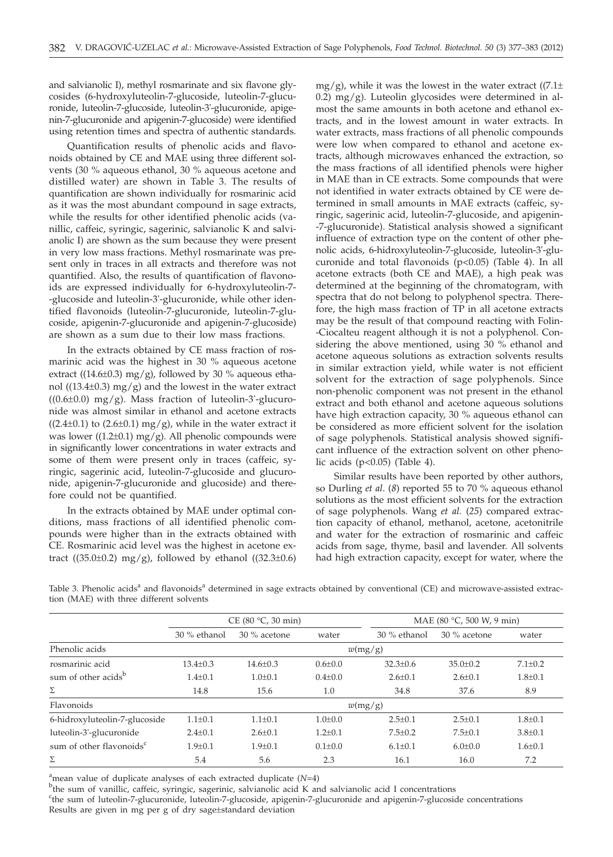and salvianolic I), methyl rosmarinate and six flavone glycosides (6-hydroxyluteolin-7-glucoside, luteolin-7-glucuronide, luteolin-7-glucoside, luteolin-3'-glucuronide, apigenin-7-glucuronide and apigenin-7-glucoside) were identified using retention times and spectra of authentic standards.

Quantification results of phenolic acids and flavonoids obtained by CE and MAE using three different solvents (30 % aqueous ethanol, 30 % aqueous acetone and distilled water) are shown in Table 3. The results of quantification are shown individually for rosmarinic acid as it was the most abundant compound in sage extracts, while the results for other identified phenolic acids (vanillic, caffeic, syringic, sagerinic, salvianolic K and salvianolic I) are shown as the sum because they were present in very low mass fractions. Methyl rosmarinate was present only in traces in all extracts and therefore was not quantified. Also, the results of quantification of flavonoids are expressed individually for 6-hydroxyluteolin-7- -glucoside and luteolin-3'-glucuronide, while other identified flavonoids (luteolin-7-glucuronide, luteolin-7-glucoside, apigenin-7-glucuronide and apigenin-7-glucoside) are shown as a sum due to their low mass fractions.

In the extracts obtained by CE mass fraction of rosmarinic acid was the highest in 30 % aqueous acetone extract ((14.6 $\pm$ 0.3) mg/g), followed by 30 % aqueous ethanol ( $(13.4\pm0.3)$  mg/g) and the lowest in the water extract  $((0.6\pm0.0)$  mg/g). Mass fraction of luteolin-3'-glucuronide was almost similar in ethanol and acetone extracts  $((2.4\pm0.1)$  to  $(2.6\pm0.1)$  mg/g), while in the water extract it was lower ( $(1.2\pm0.1)$  mg/g). All phenolic compounds were in significantly lower concentrations in water extracts and some of them were present only in traces (caffeic, syringic, sagerinic acid, luteolin-7-glucoside and glucuronide, apigenin-7-glucuronide and glucoside) and therefore could not be quantified.

In the extracts obtained by MAE under optimal conditions, mass fractions of all identified phenolic compounds were higher than in the extracts obtained with CE. Rosmarinic acid level was the highest in acetone extract ((35.0±0.2) mg/g), followed by ethanol ((32.3±0.6)

mg/g), while it was the lowest in the water extract  $((7.1\pm$ 0.2) mg/g). Luteolin glycosides were determined in almost the same amounts in both acetone and ethanol extracts, and in the lowest amount in water extracts. In water extracts, mass fractions of all phenolic compounds were low when compared to ethanol and acetone extracts, although microwaves enhanced the extraction, so the mass fractions of all identified phenols were higher in MAE than in CE extracts. Some compounds that were not identified in water extracts obtained by CE were determined in small amounts in MAE extracts (caffeic, syringic, sagerinic acid, luteolin-7-glucoside, and apigenin- -7-glucuronide). Statistical analysis showed a significant influence of extraction type on the content of other phenolic acids, 6-hidroxyluteolin-7-glucoside, luteolin-3'-glucuronide and total flavonoids (p<0.05) (Table 4). In all acetone extracts (both CE and MAE), a high peak was determined at the beginning of the chromatogram, with spectra that do not belong to polyphenol spectra. Therefore, the high mass fraction of TP in all acetone extracts may be the result of that compound reacting with Folin- -Ciocalteu reagent although it is not a polyphenol. Considering the above mentioned, using 30 % ethanol and acetone aqueous solutions as extraction solvents results in similar extraction yield, while water is not efficient solvent for the extraction of sage polyphenols. Since non-phenolic component was not present in the ethanol extract and both ethanol and acetone aqueous solutions have high extraction capacity, 30 % aqueous ethanol can be considered as more efficient solvent for the isolation of sage polyphenols. Statistical analysis showed significant influence of the extraction solvent on other phenolic acids (p<0.05) (Table 4).

Similar results have been reported by other authors, so Durling *et al*. (*8*) reported 55 to 70 % aqueous ethanol solutions as the most efficient solvents for the extraction of sage polyphenols. Wang *et al.* (*25*) compared extraction capacity of ethanol, methanol, acetone, acetonitrile and water for the extraction of rosmarinic and caffeic acids from sage, thyme, basil and lavender. All solvents had high extraction capacity, except for water, where the

|                                      | CE(80 °C, 30 min) |                |               |                | MAE (80 °C, 500 W, 9 min) |               |  |
|--------------------------------------|-------------------|----------------|---------------|----------------|---------------------------|---------------|--|
|                                      | 30 % ethanol      | $30\%$ acetone | water         | $30%$ ethanol  | 30 % acetone              | water         |  |
| Phenolic acids                       | w(mg/g)           |                |               |                |                           |               |  |
| rosmarinic acid                      | $13.4 \pm 0.3$    | $14.6 \pm 0.3$ | $0.6 \pm 0.0$ | $32.3 \pm 0.6$ | $35.0 \pm 0.2$            | $7.1 \pm 0.2$ |  |
| sum of other acids <sup>b</sup>      | $1.4 \pm 0.1$     | $1.0 \pm 0.1$  | $0.4 \pm 0.0$ | $2.6 \pm 0.1$  | $2.6 \pm 0.1$             | $1.8 \pm 0.1$ |  |
| Σ                                    | 14.8              | 15.6           | 1.0           | 34.8           | 37.6                      | 8.9           |  |
| Flavonoids                           |                   |                |               | w(mg/g)        |                           |               |  |
| 6-hidroxyluteolin-7-glucoside        | $1.1 \pm 0.1$     | $1.1 \pm 0.1$  | $1.0 \pm 0.0$ | $2.5 \pm 0.1$  | $2.5 \pm 0.1$             | $1.8 \pm 0.1$ |  |
| luteolin-3'-glucuronide              | $2.4 \pm 0.1$     | $2.6 \pm 0.1$  | $1.2 \pm 0.1$ | $7.5 \pm 0.2$  | $7.5 \pm 0.1$             | $3.8 \pm 0.1$ |  |
| sum of other flavonoids <sup>c</sup> | $1.9 \pm 0.1$     | $1.9 \pm 0.1$  | $0.1 \pm 0.0$ | $6.1 \pm 0.1$  | $6.0 \pm 0.0$             | $1.6 \pm 0.1$ |  |
| Σ                                    | 5.4               | 5.6            | 2.3           | 16.1           | 16.0                      | 7.2           |  |

Table 3. Phenolic acids<sup>a</sup> and flavonoids<sup>a</sup> determined in sage extracts obtained by conventional (CE) and microwave-assisted extraction (MAE) with three different solvents

<sup>a</sup> mean value of duplicate analyses of each extracted duplicate  $(N=4)$ <br><sup>b</sup>the sum of vanillic caffaic sympac segminic selvianolic acid K an

<sup>b</sup>the sum of vanillic, caffeic, syringic, sagerinic, salvianolic acid K and salvianolic acid I concentrations

<sup>c</sup>the sum of luteolin-7-glucuronide, luteolin-7-glucoside, apigenin-7-glucuronide and apigenin-7-glucoside concentrations Results are given in mg per g of dry sage±standard deviation